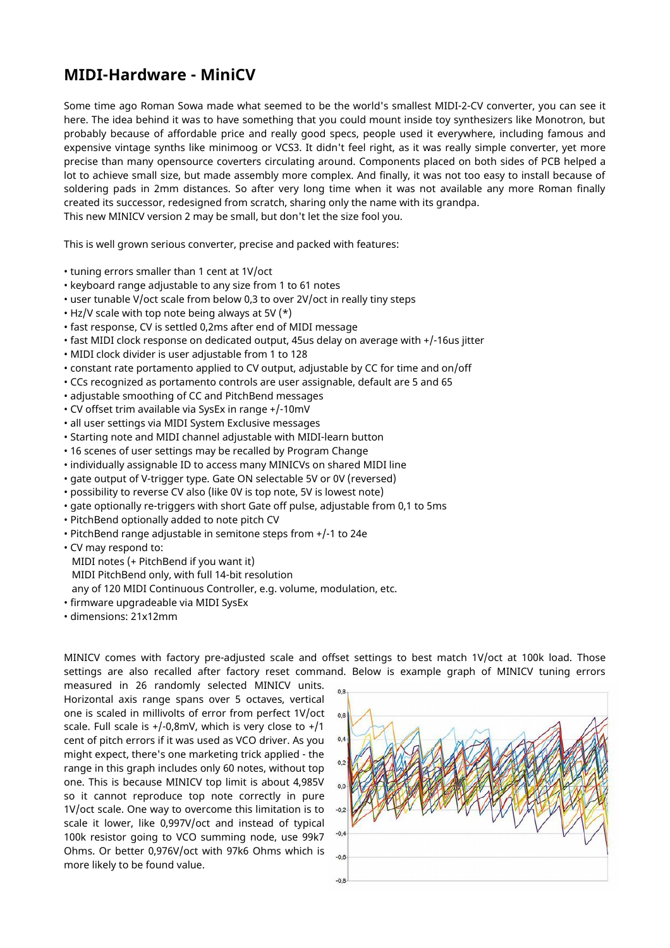## **MIDI-Hardware - MiniCV**

Some time ago Roman Sowa made what seemed to be the world's smallest MIDI-2-CV converter, you can see it here. The idea behind it was to have something that you could mount inside toy synthesizers like Monotron, but probably because of affordable price and really good specs, people used it everywhere, including famous and expensive vintage synths like minimoog or VCS3. It didn't feel right, as it was really simple converter, yet more precise than many opensource coverters circulating around. Components placed on both sides of PCB helped a lot to achieve small size, but made assembly more complex. And finally, it was not too easy to install because of soldering pads in 2mm distances. So after very long time when it was not available any more Roman finally created its successor, redesigned from scratch, sharing only the name with its grandpa. This new MINICV version 2 may be small, but don't let the size fool you.

This is well grown serious converter, precise and packed with features:

- tuning errors smaller than 1 cent at 1V/oct
- keyboard range adjustable to any size from 1 to 61 notes
- user tunable V/oct scale from below 0,3 to over 2V/oct in really tiny steps
- $\cdot$  Hz/V scale with top note being always at 5V (\*)
- fast response, CV is settled 0,2ms after end of MIDI message
- fast MIDI clock response on dedicated output, 45us delay on average with +/-16us jitter
- MIDI clock divider is user adjustable from 1 to 128
- constant rate portamento applied to CV output, adjustable by CC for time and on/off
- CCs recognized as portamento controls are user assignable, default are 5 and 65
- adjustable smoothing of CC and PitchBend messages
- CV offset trim available via SysEx in range +/-10mV
- all user settings via MIDI System Exclusive messages
- Starting note and MIDI channel adjustable with MIDI-learn button
- 16 scenes of user settings may be recalled by Program Change
- individually assignable ID to access many MINICVs on shared MIDI line
- gate output of V-trigger type. Gate ON selectable 5V or 0V (reversed)
- possibility to reverse CV also (like 0V is top note, 5V is lowest note)
- gate optionally re-triggers with short Gate off pulse, adjustable from 0,1 to 5ms
- PitchBend optionally added to note pitch CV
- PitchBend range adjustable in semitone steps from +/-1 to 24e
- CV may respond to:

MIDI notes (+ PitchBend if you want it)

MIDI PitchBend only, with full 14-bit resolution

any of 120 MIDI Continuous Controller, e.g. volume, modulation, etc.

- firmware upgradeable via MIDI SysEx
- dimensions: 21x12mm

MINICV comes with factory pre-adjusted scale and offset settings to best match 1V/oct at 100k load. Those settings are also recalled after factory reset command. Below is example graph of MINICV tuning errors

measured in 26 randomly selected MINICV units. Horizontal axis range spans over 5 octaves, vertical one is scaled in millivolts of error from perfect 1V/oct scale. Full scale is +/-0,8mV, which is very close to +/1 cent of pitch errors if it was used as VCO driver. As you might expect, there's one marketing trick applied - the range in this graph includes only 60 notes, without top one. This is because MINICV top limit is about 4,985V so it cannot reproduce top note correctly in pure 1V/oct scale. One way to overcome this limitation is to scale it lower, like 0,997V/oct and instead of typical 100k resistor going to VCO summing node, use 99k7 Ohms. Or better 0,976V/oct with 97k6 Ohms which is more likely to be found value.